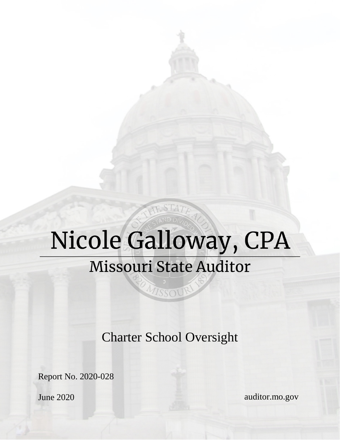# Nicole Galloway, CPA **Missouri State Auditor**

MISSOUR

JE STATE

Charter School Oversight

Report No. 2020-028

June 2020

auditor.mo.gov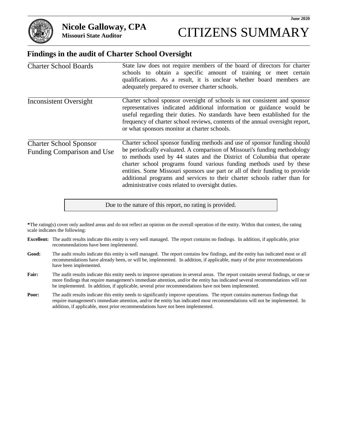

## **Findings in the audit of Charter School Oversight**

| <b>Charter School Boards</b>                                | State law does not require members of the board of directors for charter<br>schools to obtain a specific amount of training or meet certain<br>qualifications. As a result, it is unclear whether board members are<br>adequately prepared to oversee charter schools.                                                                                                                                                                                                                                                   |
|-------------------------------------------------------------|--------------------------------------------------------------------------------------------------------------------------------------------------------------------------------------------------------------------------------------------------------------------------------------------------------------------------------------------------------------------------------------------------------------------------------------------------------------------------------------------------------------------------|
| Inconsistent Oversight                                      | Charter school sponsor oversight of schools is not consistent and sponsor<br>representatives indicated additional information or guidance would be<br>useful regarding their duties. No standards have been established for the<br>frequency of charter school reviews, contents of the annual oversight report,<br>or what sponsors monitor at charter schools.                                                                                                                                                         |
| <b>Charter School Sponsor</b><br>Funding Comparison and Use | Charter school sponsor funding methods and use of sponsor funding should<br>be periodically evaluated. A comparison of Missouri's funding methodology<br>to methods used by 44 states and the District of Columbia that operate<br>charter school programs found various funding methods used by these<br>entities. Some Missouri sponsors use part or all of their funding to provide<br>additional programs and services to their charter schools rather than for<br>administrative costs related to oversight duties. |

**\***The rating(s) cover only audited areas and do not reflect an opinion on the overall operation of the entity. Within that context, the rating scale indicates the following:

Due to the nature of this report, no rating is provided.

- **Excellent:** The audit results indicate this entity is very well managed. The report contains no findings. In addition, if applicable, prior recommendations have been implemented.
- **Good:** The audit results indicate this entity is well managed. The report contains few findings, and the entity has indicated most or all recommendations have already been, or will be, implemented. In addition, if applicable, many of the prior recommendations have been implemented.
- Fair: The audit results indicate this entity needs to improve operations in several areas. The report contains several findings, or one or more findings that require management's immediate attention, and/or the entity has indicated several recommendations will not be implemented. In addition, if applicable, several prior recommendations have not been implemented.
- **Poor:** The audit results indicate this entity needs to significantly improve operations. The report contains numerous findings that require management's immediate attention, and/or the entity has indicated most recommendations will not be implemented. In addition, if applicable, most prior recommendations have not been implemented.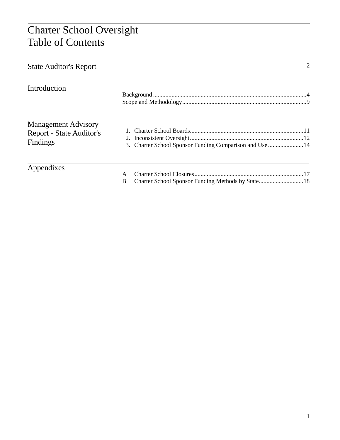# Charter School Oversight Table of Contents

| <b>State Auditor's Report</b>                                             |                                                             | 2 |
|---------------------------------------------------------------------------|-------------------------------------------------------------|---|
| Introduction                                                              |                                                             |   |
| <b>Management Advisory</b><br><b>Report - State Auditor's</b><br>Findings | 3. Charter School Sponsor Funding Comparison and Use  14    |   |
| Appendixes                                                                | A<br>Charter School Sponsor Funding Methods by State18<br>B |   |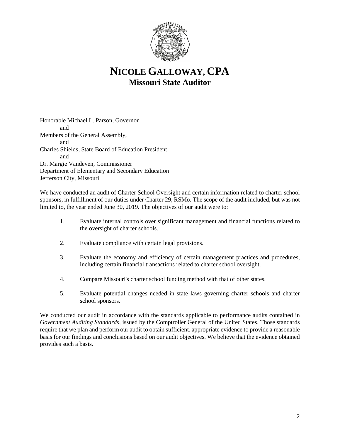

# **NICOLE GALLOWAY, CPA Missouri State Auditor**

Honorable Michael L. Parson, Governor and Members of the General Assembly, and Charles Shields, State Board of Education President and Dr. Margie Vandeven, Commissioner Department of Elementary and Secondary Education Jefferson City, Missouri

We have conducted an audit of Charter School Oversight and certain information related to charter school sponsors, in fulfillment of our duties under Charter 29, RSMo. The scope of the audit included, but was not limited to, the year ended June 30, 2019. The objectives of our audit were to:

- 1. Evaluate internal controls over significant management and financial functions related to the oversight of charter schools.
- 2. Evaluate compliance with certain legal provisions.
- 3. Evaluate the economy and efficiency of certain management practices and procedures, including certain financial transactions related to charter school oversight.
- 4. Compare Missouri's charter school funding method with that of other states.
- 5. Evaluate potential changes needed in state laws governing charter schools and charter school sponsors.

We conducted our audit in accordance with the standards applicable to performance audits contained in *Government Auditing Standards*, issued by the Comptroller General of the United States. Those standards require that we plan and perform our audit to obtain sufficient, appropriate evidence to provide a reasonable basis for our findings and conclusions based on our audit objectives. We believe that the evidence obtained provides such a basis.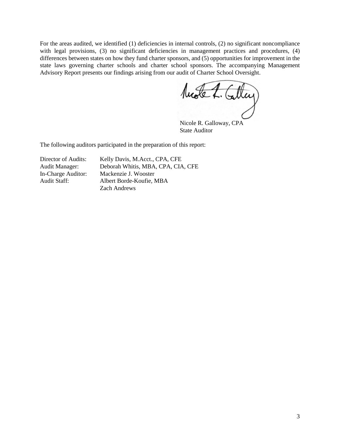For the areas audited, we identified (1) deficiencies in internal controls, (2) no significant noncompliance with legal provisions, (3) no significant deficiencies in management practices and procedures, (4) differences between states on how they fund charter sponsors, and (5) opportunities for improvement in the state laws governing charter schools and charter school sponsors. The accompanying Management Advisory Report presents our findings arising from our audit of Charter School Oversight.

Model. Calley

Nicole R. Galloway, CPA State Auditor

The following auditors participated in the preparation of this report:

Director of Audits: Kelly Davis, M.Acct., CPA, CFE Audit Manager: Deborah Whitis, MBA, CPA, CIA, CFE In-Charge Auditor: Mackenzie J. Wooster Audit Staff: Albert Borde-Koufie, MBA Zach Andrews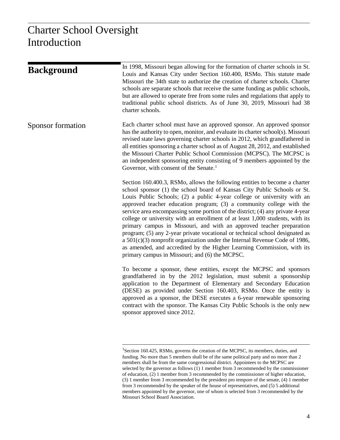| <b>Background</b> | In 1998, Missouri began allowing for the formation of charter schools in St.<br>Louis and Kansas City under Section 160.400, RSMo. This statute made<br>Missouri the 34th state to authorize the creation of charter schools. Charter<br>schools are separate schools that receive the same funding as public schools,<br>but are allowed to operate free from some rules and regulations that apply to<br>traditional public school districts. As of June 30, 2019, Missouri had 38<br>charter schools.                                                                                                                                                                                                                                                                                                                                          |
|-------------------|---------------------------------------------------------------------------------------------------------------------------------------------------------------------------------------------------------------------------------------------------------------------------------------------------------------------------------------------------------------------------------------------------------------------------------------------------------------------------------------------------------------------------------------------------------------------------------------------------------------------------------------------------------------------------------------------------------------------------------------------------------------------------------------------------------------------------------------------------|
| Sponsor formation | Each charter school must have an approved sponsor. An approved sponsor<br>has the authority to open, monitor, and evaluate its charter school(s). Missouri<br>revised state laws governing charter schools in 2012, which grandfathered in<br>all entities sponsoring a charter school as of August 28, 2012, and established<br>the Missouri Charter Public School Commission (MCPSC). The MCPSC is<br>an independent sponsoring entity consisting of 9 members appointed by the<br>Governor, with consent of the Senate. <sup>1</sup>                                                                                                                                                                                                                                                                                                           |
|                   | Section 160.400.3, RSMo, allows the following entities to become a charter<br>school sponsor (1) the school board of Kansas City Public Schools or St.<br>Louis Public Schools; (2) a public 4-year college or university with an<br>approved teacher education program; (3) a community college with the<br>service area encompassing some portion of the district; (4) any private 4-year<br>college or university with an enrollment of at least 1,000 students, with its<br>primary campus in Missouri, and with an approved teacher preparation<br>program; (5) any 2-year private vocational or technical school designated as<br>a $501(c)(3)$ nonprofit organization under the Internal Revenue Code of 1986,<br>as amended, and accredited by the Higher Learning Commission, with its<br>primary campus in Missouri; and (6) the MCPSC. |
|                   | To become a sponsor, these entities, except the MCPSC and sponsors<br>grandfathered in by the 2012 legislation, must submit a sponsorship<br>application to the Department of Elementary and Secondary Education<br>(DESE) as provided under Section 160.403, RSMo. Once the entity is<br>approved as a sponsor, the DESE executes a 6-year renewable sponsoring<br>contract with the sponsor. The Kansas City Public Schools is the only new<br>sponsor approved since 2012.                                                                                                                                                                                                                                                                                                                                                                     |

<span id="page-5-0"></span> $\frac{1}{1}$ <sup>1</sup>Section 160.425, RSMo, governs the creation of the MCPSC, its members, duties, and funding. No more than 5 members shall be of the same political party and no more than 2 members shall be from the same congressional district. Appointees to the MCPSC are selected by the governor as follows (1) 1 member from 3 recommended by the commissioner of education, (2) 1 member from 3 recommended by the commissioner of higher education, (3) 1 member from 3 recommended by the president pro tempore of the senate, (4) 1 member from 3 recommended by the speaker of the house of representatives, and (5) 5 additional members appointed by the governor, one of whom is selected from 3 recommended by the Missouri School Board Association.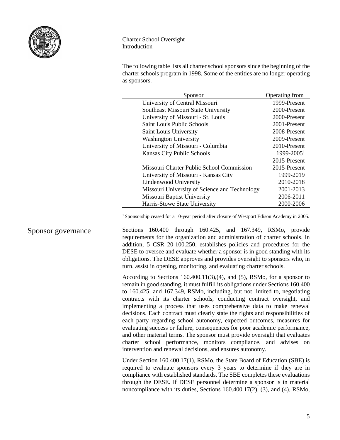

The following table lists all charter school sponsors since the beginning of the charter schools program in 1998. Some of the entities are no longer operating as sponsors.

| Sponsor                                       | Operating from         |
|-----------------------------------------------|------------------------|
| University of Central Missouri                | 1999-Present           |
| Southeast Missouri State University           | 2000-Present           |
| University of Missouri - St. Louis            | 2000-Present           |
| Saint Louis Public Schools                    | 2001-Present           |
| Saint Louis University                        | 2008-Present           |
| <b>Washington University</b>                  | 2009-Present           |
| University of Missouri - Columbia             | 2010-Present           |
| Kansas City Public Schools                    | 1999-2005 <sup>1</sup> |
|                                               | 2015-Present           |
| Missouri Charter Public School Commission     | 2015-Present           |
| University of Missouri - Kansas City          | 1999-2019              |
| Lindenwood University                         | 2010-2018              |
| Missouri University of Science and Technology | 2001-2013              |
| Missouri Baptist University                   | 2006-2011              |
| Harris-Stowe State University                 | 2000-2006              |

<sup>1</sup> Sponsorship ceased for a 10-year period after closure of Westport Edison Academy in 2005.

Sections 160.400 through 160.425, and 167.349, RSMo, provide requirements for the organization and administration of charter schools. In addition, 5 CSR 20-100.250, establishes policies and procedures for the DESE to oversee and evaluate whether a sponsor is in good standing with its obligations. The DESE approves and provides oversight to sponsors who, in turn, assist in opening, monitoring, and evaluating charter schools. Sponsor governance

> According to Sections 160.400.11(3),(4), and (5), RSMo, for a sponsor to remain in good standing, it must fulfill its obligations under Sections 160.400 to 160.425, and 167.349, RSMo, including, but not limited to, negotiating contracts with its charter schools, conducting contract oversight, and implementing a process that uses comprehensive data to make renewal decisions. Each contract must clearly state the rights and responsibilities of each party regarding school autonomy, expected outcomes, measures for evaluating success or failure, consequences for poor academic performance, and other material terms. The sponsor must provide oversight that evaluates charter school performance, monitors compliance, and advises on intervention and renewal decisions, and ensures autonomy.

> Under Section 160.400.17(1), RSMo, the State Board of Education (SBE) is required to evaluate sponsors every 3 years to determine if they are in compliance with established standards. The SBE completes these evaluations through the DESE. If DESE personnel determine a sponsor is in material noncompliance with its duties, Sections 160.400.17(2), (3), and (4), RSMo,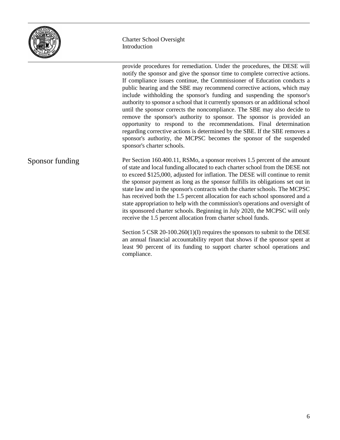

provide procedures for remediation. Under the procedures, the DESE will notify the sponsor and give the sponsor time to complete corrective actions. If compliance issues continue, the Commissioner of Education conducts a public hearing and the SBE may recommend corrective actions, which may include withholding the sponsor's funding and suspending the sponsor's authority to sponsor a school that it currently sponsors or an additional school until the sponsor corrects the noncompliance. The SBE may also decide to remove the sponsor's authority to sponsor. The sponsor is provided an opportunity to respond to the recommendations. Final determination regarding corrective actions is determined by the SBE. If the SBE removes a sponsor's authority, the MCPSC becomes the sponsor of the suspended sponsor's charter schools. Per Section 160.400.11, RSMo, a sponsor receives 1.5 percent of the amount of state and local funding allocated to each charter school from the DESE not to exceed \$125,000, adjusted for inflation. The DESE will continue to remit the sponsor payment as long as the sponsor fulfills its obligations set out in state law and in the sponsor's contracts with the charter schools. The MCPSC has received both the 1.5 percent allocation for each school sponsored and a state appropriation to help with the commission's operations and oversight of its sponsored charter schools. Beginning in July 2020, the MCPSC will only receive the 1.5 percent allocation from charter school funds. Section 5 CSR 20-100.260(1)(I) requires the sponsors to submit to the DESE an annual financial accountability report that shows if the sponsor spent at least 90 percent of its funding to support charter school operations and compliance. Sponsor funding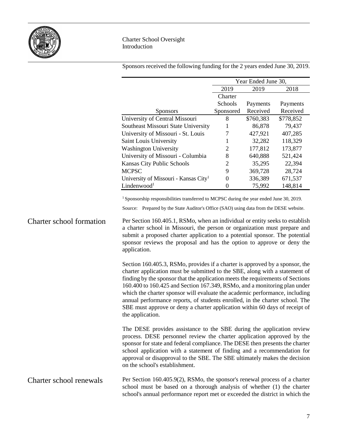

Sponsors received the following funding for the 2 years ended June 30, 2019.

|                                 |                                                                                                                                                                                                                                                                                                                                                                                                                                                                                                                                                                                                                                                                                                    | Year Ended June 30, |           |           |
|---------------------------------|----------------------------------------------------------------------------------------------------------------------------------------------------------------------------------------------------------------------------------------------------------------------------------------------------------------------------------------------------------------------------------------------------------------------------------------------------------------------------------------------------------------------------------------------------------------------------------------------------------------------------------------------------------------------------------------------------|---------------------|-----------|-----------|
|                                 |                                                                                                                                                                                                                                                                                                                                                                                                                                                                                                                                                                                                                                                                                                    | 2019                | 2019      | 2018      |
|                                 |                                                                                                                                                                                                                                                                                                                                                                                                                                                                                                                                                                                                                                                                                                    | Charter             |           |           |
|                                 |                                                                                                                                                                                                                                                                                                                                                                                                                                                                                                                                                                                                                                                                                                    | Schools             | Payments  | Payments  |
|                                 | <b>Sponsors</b>                                                                                                                                                                                                                                                                                                                                                                                                                                                                                                                                                                                                                                                                                    | Sponsored           | Received  | Received  |
|                                 | University of Central Missouri                                                                                                                                                                                                                                                                                                                                                                                                                                                                                                                                                                                                                                                                     | 8                   | \$760,383 | \$778,852 |
|                                 | Southeast Missouri State University                                                                                                                                                                                                                                                                                                                                                                                                                                                                                                                                                                                                                                                                | 1                   | 86,878    | 79,437    |
|                                 | University of Missouri - St. Louis                                                                                                                                                                                                                                                                                                                                                                                                                                                                                                                                                                                                                                                                 | 7                   | 427,921   | 407,285   |
|                                 | Saint Louis University                                                                                                                                                                                                                                                                                                                                                                                                                                                                                                                                                                                                                                                                             | 1                   | 32,282    | 118,329   |
|                                 | <b>Washington University</b>                                                                                                                                                                                                                                                                                                                                                                                                                                                                                                                                                                                                                                                                       | $\overline{c}$<br>8 | 177,812   | 173,877   |
|                                 | University of Missouri - Columbia                                                                                                                                                                                                                                                                                                                                                                                                                                                                                                                                                                                                                                                                  |                     | 640,888   | 521,424   |
|                                 | Kansas City Public Schools                                                                                                                                                                                                                                                                                                                                                                                                                                                                                                                                                                                                                                                                         | $\overline{2}$      | 35,295    | 22,394    |
|                                 | <b>MCPSC</b>                                                                                                                                                                                                                                                                                                                                                                                                                                                                                                                                                                                                                                                                                       | 9                   | 369,728   | 28,724    |
|                                 | University of Missouri - Kansas City <sup>1</sup>                                                                                                                                                                                                                                                                                                                                                                                                                                                                                                                                                                                                                                                  | $\boldsymbol{0}$    | 336,389   | 671,537   |
|                                 | Lindenwood <sup>1</sup>                                                                                                                                                                                                                                                                                                                                                                                                                                                                                                                                                                                                                                                                            | $\mathbf{0}$        | 75,992    | 148,814   |
| <b>Charter school formation</b> | <sup>1</sup> Sponsorship responsibilities transferred to MCPSC during the year ended June 30, 2019.<br>Source: Prepared by the State Auditor's Office (SAO) using data from the DESE website.<br>Per Section 160.405.1, RSMo, when an individual or entity seeks to establish<br>a charter school in Missouri, the person or organization must prepare and<br>submit a proposed charter application to a potential sponsor. The potential<br>sponsor reviews the proposal and has the option to approve or deny the<br>application.<br>Section 160.405.3, RSMo, provides if a charter is approved by a sponsor, the<br>charter application must be submitted to the SBE, along with a statement of |                     |           |           |
|                                 | finding by the sponsor that the application meets the requirements of Sections<br>160.400 to 160.425 and Section 167.349, RSMo, and a monitoring plan under<br>which the charter sponsor will evaluate the academic performance, including<br>annual performance reports, of students enrolled, in the charter school. The<br>SBE must approve or deny a charter application within 60 days of receipt of<br>the application.<br>The DESE provides assistance to the SBE during the application review                                                                                                                                                                                             |                     |           |           |
|                                 | process. DESE personnel review the charter application approved by the<br>sponsor for state and federal compliance. The DESE then presents the charter<br>school application with a statement of finding and a recommendation for<br>approval or disapproval to the SBE. The SBE ultimately makes the decision<br>on the school's establishment.                                                                                                                                                                                                                                                                                                                                                   |                     |           |           |
| Charter school renewals         | Per Section 160.405.9(2), RSMo, the sponsor's renewal process of a charter<br>school must be based on a thorough analysis of whether (1) the charter<br>school's annual performance report met or exceeded the district in which the                                                                                                                                                                                                                                                                                                                                                                                                                                                               |                     |           |           |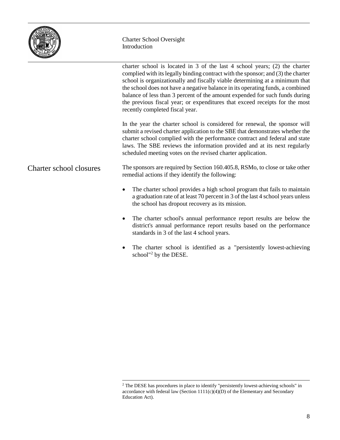

|                         | charter school is located in $3$ of the last $4$ school years; (2) the charter<br>complied with its legally binding contract with the sponsor; and (3) the charter<br>school is organizationally and fiscally viable determining at a minimum that<br>the school does not have a negative balance in its operating funds, a combined<br>balance of less than 3 percent of the amount expended for such funds during<br>the previous fiscal year; or expenditures that exceed receipts for the most<br>recently completed fiscal year. |
|-------------------------|---------------------------------------------------------------------------------------------------------------------------------------------------------------------------------------------------------------------------------------------------------------------------------------------------------------------------------------------------------------------------------------------------------------------------------------------------------------------------------------------------------------------------------------|
|                         | In the year the charter school is considered for renewal, the sponsor will<br>submit a revised charter application to the SBE that demonstrates whether the<br>charter school complied with the performance contract and federal and state<br>laws. The SBE reviews the information provided and at its next regularly<br>scheduled meeting votes on the revised charter application.                                                                                                                                                 |
| Charter school closures | The sponsors are required by Section 160.405.8, RSMo, to close or take other<br>remedial actions if they identify the following:                                                                                                                                                                                                                                                                                                                                                                                                      |
|                         | The charter school provides a high school program that fails to maintain<br>$\bullet$<br>a graduation rate of at least 70 percent in 3 of the last 4 school years unless<br>the school has dropout recovery as its mission.                                                                                                                                                                                                                                                                                                           |
|                         | The charter school's annual performance report results are below the<br>$\bullet$<br>district's annual performance report results based on the performance<br>standards in 3 of the last 4 school years.                                                                                                                                                                                                                                                                                                                              |

• The charter school is identified as a "persistently lowest-achieving school"<sup>[2](#page-9-0)</sup> by the DESE.

<span id="page-9-0"></span><sup>&</sup>lt;sup>2</sup> The DESE has procedures in place to identify "persistently lowest-achieving schools" in accordance with federal law (Section 1111(c)(4)(D) of the Elementary and Secondary Education Act).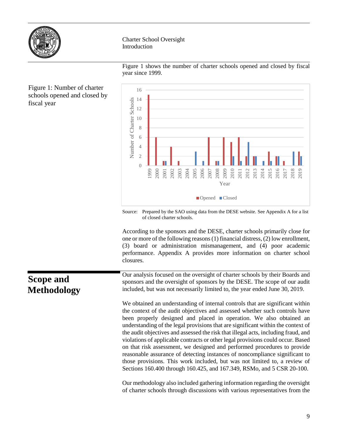

Figure 1 shows the number of charter schools opened and closed by fiscal year since 1999.



Source: Prepared by the SAO using data from the DESE website. See Appendix A for a list of closed charter schools.

According to the sponsors and the DESE, charter schools primarily close for one or more of the following reasons(1) financial distress, (2) low enrollment, (3) board or administration mismanagement, and (4) poor academic performance. Appendix A provides more information on charter school closures.

Our analysis focused on the oversight of charter schools by their Boards and sponsors and the oversight of sponsors by the DESE. The scope of our audit included, but was not necessarily limited to, the year ended June 30, 2019.

We obtained an understanding of internal controls that are significant within the context of the audit objectives and assessed whether such controls have been properly designed and placed in operation. We also obtained an understanding of the legal provisions that are significant within the context of the audit objectives and assessed the risk that illegal acts, including fraud, and violations of applicable contracts or other legal provisions could occur. Based on that risk assessment, we designed and performed procedures to provide reasonable assurance of detecting instances of noncompliance significant to those provisions. This work included, but was not limited to, a review of Sections 160.400 through 160.425, and 167.349, RSMo, and 5 CSR 20-100.

Our methodology also included gathering information regarding the oversight of charter schools through discussions with various representatives from the

Figure 1: Number of charter schools opened and closed by fiscal year

# **Scope and Methodology**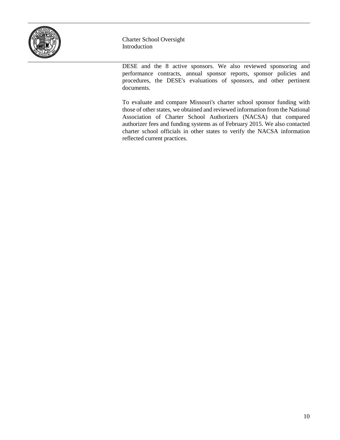

DESE and the 8 active sponsors. We also reviewed sponsoring and performance contracts, annual sponsor reports, sponsor policies and procedures, the DESE's evaluations of sponsors, and other pertinent documents.

To evaluate and compare Missouri's charter school sponsor funding with those of other states, we obtained and reviewed information from the National Association of Charter School Authorizers (NACSA) that compared authorizer fees and funding systems as of February 2015. We also contacted charter school officials in other states to verify the NACSA information reflected current practices.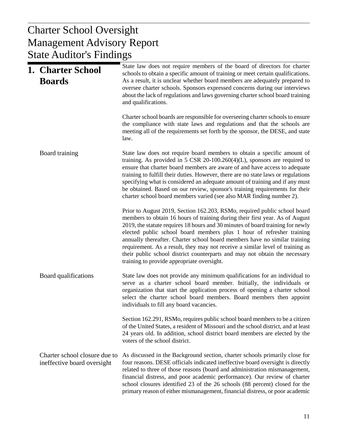# $U$  Denort Management Advisory Report Charter School Oversight State Auditor's Findings

| 1. Charter School<br><b>Boards</b>                           | State law does not require members of the board of directors for charter<br>schools to obtain a specific amount of training or meet certain qualifications.<br>As a result, it is unclear whether board members are adequately prepared to<br>oversee charter schools. Sponsors expressed concerns during our interviews<br>about the lack of regulations and laws governing charter school board training<br>and qualifications.                                                                                                                                                                               |
|--------------------------------------------------------------|-----------------------------------------------------------------------------------------------------------------------------------------------------------------------------------------------------------------------------------------------------------------------------------------------------------------------------------------------------------------------------------------------------------------------------------------------------------------------------------------------------------------------------------------------------------------------------------------------------------------|
|                                                              | Charter school boards are responsible for overseeing charter schools to ensure<br>the compliance with state laws and regulations and that the schools are<br>meeting all of the requirements set forth by the sponsor, the DESE, and state<br>law.                                                                                                                                                                                                                                                                                                                                                              |
| Board training                                               | State law does not require board members to obtain a specific amount of<br>training. As provided in $5 \text{ CSR } 20{\text{-}100.260(4)(L)}$ , sponsors are required to<br>ensure that charter board members are aware of and have access to adequate<br>training to fulfill their duties. However, there are no state laws or regulations<br>specifying what is considered an adequate amount of training and if any must<br>be obtained. Based on our review, sponsor's training requirements for their<br>charter school board members varied (see also MAR finding number 2).                             |
|                                                              | Prior to August 2019, Section 162.203, RSMo, required public school board<br>members to obtain 16 hours of training during their first year. As of August<br>2019, the statute requires 18 hours and 30 minutes of board training for newly<br>elected public school board members plus 1 hour of refresher training<br>annually thereafter. Charter school board members have no similar training<br>requirement. As a result, they may not receive a similar level of training as<br>their public school district counterparts and may not obtain the necessary<br>training to provide appropriate oversight. |
| Board qualifications                                         | State law does not provide any minimum qualifications for an individual to<br>serve as a charter school board member. Initially, the individuals or<br>organization that start the application process of opening a charter school<br>select the charter school board members. Board members then appoint<br>individuals to fill any board vacancies.                                                                                                                                                                                                                                                           |
|                                                              | Section 162.291, RSMo, requires public school board members to be a citizen<br>of the United States, a resident of Missouri and the school district, and at least<br>24 years old. In addition, school district board members are elected by the<br>voters of the school district.                                                                                                                                                                                                                                                                                                                              |
| Charter school closure due to<br>ineffective board oversight | As discussed in the Background section, charter schools primarily close for<br>four reasons. DESE officials indicated ineffective board oversight is directly<br>related to three of those reasons (board and administration mismanagement,<br>financial distress, and poor academic performance). Our review of charter<br>school closures identified 23 of the 26 schools (88 percent) closed for the<br>primary reason of either mismanagement, financial distress, or poor academic                                                                                                                         |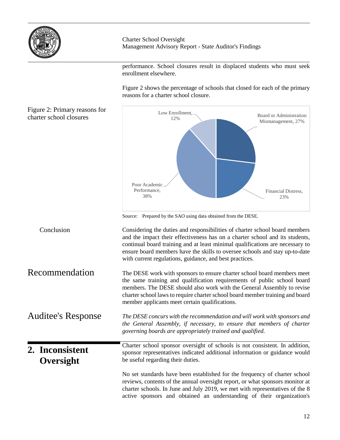

Charter School Oversight Management Advisory Report - State Auditor's Findings

performance. School closures result in displaced students who must seek enrollment elsewhere.

Figure 2 shows the percentage of schools that closed for each of the primary reasons for a charter school closure.

Figur chart

| Figure 2: Primary reasons for<br>charter school closures | Low Enrollment,<br>12%<br>Poor Academic<br>Performance,<br>38%                                                                                                                                                                                                                                                                                                                                                                                           | Board or Administration<br>Mismanagement, 27%<br>Financial Distress,<br>23% |
|----------------------------------------------------------|----------------------------------------------------------------------------------------------------------------------------------------------------------------------------------------------------------------------------------------------------------------------------------------------------------------------------------------------------------------------------------------------------------------------------------------------------------|-----------------------------------------------------------------------------|
| Conclusion                                               | Source: Prepared by the SAO using data obtained from the DESE.<br>Considering the duties and responsibilities of charter school board members<br>and the impact their effectiveness has on a charter school and its students,<br>continual board training and at least minimal qualifications are necessary to<br>ensure board members have the skills to oversee schools and stay up-to-date<br>with current regulations, guidance, and best practices. |                                                                             |
| Recommendation                                           | The DESE work with sponsors to ensure charter school board members meet<br>the same training and qualification requirements of public school board<br>members. The DESE should also work with the General Assembly to revise<br>charter school laws to require charter school board member training and board<br>member applicants meet certain qualifications.                                                                                          |                                                                             |
| <b>Auditee's Response</b>                                | The DESE concurs with the recommendation and will work with sponsors and<br>the General Assembly, if necessary, to ensure that members of charter<br>governing boards are appropriately trained and qualified.                                                                                                                                                                                                                                           |                                                                             |
| 2. Inconsistent<br>Oversight                             | Charter school sponsor oversight of schools is not consistent. In addition,<br>sponsor representatives indicated additional information or guidance would<br>be useful regarding their duties.                                                                                                                                                                                                                                                           |                                                                             |
|                                                          | No set standards have been established for the frequency of charter school<br>reviews, contents of the annual oversight report, or what sponsors monitor at<br>charter schools. In June and July 2019, we met with representatives of the 8<br>active sponsors and obtained an understanding of their organization's                                                                                                                                     |                                                                             |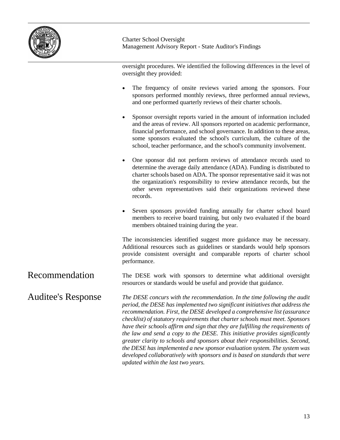

oversight procedures. We identified the following differences in the level of oversight they provided:

- The frequency of onsite reviews varied among the sponsors. Four sponsors performed monthly reviews, three performed annual reviews, and one performed quarterly reviews of their charter schools.
- Sponsor oversight reports varied in the amount of information included and the areas of review. All sponsors reported on academic performance, financial performance, and school governance. In addition to these areas, some sponsors evaluated the school's curriculum, the culture of the school, teacher performance, and the school's community involvement.
- One sponsor did not perform reviews of attendance records used to determine the average daily attendance (ADA). Funding is distributed to charter schools based on ADA. The sponsor representative said it was not the organization's responsibility to review attendance records, but the other seven representatives said their organizations reviewed these records.
- Seven sponsors provided funding annually for charter school board members to receive board training, but only two evaluated if the board members obtained training during the year.

The inconsistencies identified suggest more guidance may be necessary. Additional resources such as guidelines or standards would help sponsors provide consistent oversight and comparable reports of charter school performance.

The DESE work with sponsors to determine what additional oversight resources or standards would be useful and provide that guidance. Recommendation

*The DESE concurs with the recommendation. In the time following the audit period, the DESE has implemented two significant initiatives that address the recommendation. First, the DESE developed a comprehensive list (assurance checklist) of statutory requirements that charter schools must meet. Sponsors have their schools affirm and sign that they are fulfilling the requirements of the law and send a copy to the DESE. This initiative provides significantly greater clarity to schools and sponsors about their responsibilities. Second, the DESE has implemented a new sponsor evaluation system. The system was developed collaboratively with sponsors and is based on standards that were updated within the last two years.* Auditee's Response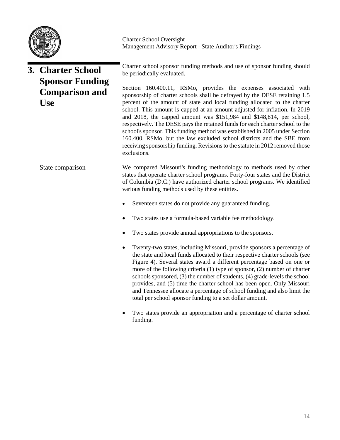

## Charter school sponsor funding methods and use of sponsor funding should be periodically evaluated. Section 160.400.11, RSMo, provides the expenses associated with sponsorship of charter schools shall be defrayed by the DESE retaining 1.5 percent of the amount of state and local funding allocated to the charter school. This amount is capped at an amount adjusted for inflation. In 2019 and 2018, the capped amount was \$151,984 and \$148,814, per school, respectively. The DESE pays the retained funds for each charter school to the school's sponsor. This funding method was established in 2005 under Section 160.400, RSMo, but the law excluded school districts and the SBE from receiving sponsorship funding. Revisions to the statute in 2012 removed those exclusions. We compared Missouri's funding methodology to methods used by other states that operate charter school programs. Forty-four states and the District of Columbia (D.C.) have authorized charter school programs. We identified various funding methods used by these entities. Seventeen states do not provide any guaranteed funding. • Two states use a formula-based variable fee methodology. Two states provide annual appropriations to the sponsors. • Twenty-two states, including Missouri, provide sponsors a percentage of the state and local funds allocated to their respective charter schools (see Figure 4). Several states award a different percentage based on one or more of the following criteria (1) type of sponsor, (2) number of charter schools sponsored, (3) the number of students, (4) grade-levels the school provides, and (5) time the charter school has been open. Only Missouri and Tennessee allocate a percentage of school funding and also limit the total per school sponsor funding to a set dollar amount. **3. Charter School Sponsor Funding Comparison and Use** State comparison

Two states provide an appropriation and a percentage of charter school funding.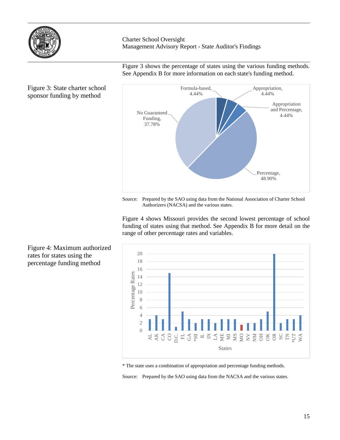

Figure 3 shows the percentage of states using the various funding methods. See Appendix B for more information on each state's funding method.



### Figure 3: State charter school sponsor funding by method

Source: Prepared by the SAO using data from the National Association of Charter School Authorizers (NACSA) and the various states.

Figure 4 shows Missouri provides the second lowest percentage of school funding of states using that method. See Appendix B for more detail on the range of other percentage rates and variables.



\* The state uses a combination of appropriation and percentage funding methods.

Source: Prepared by the SAO using data from the NACSA and the various states.

Figure 4: Maximum authorized rates for states using the percentage funding method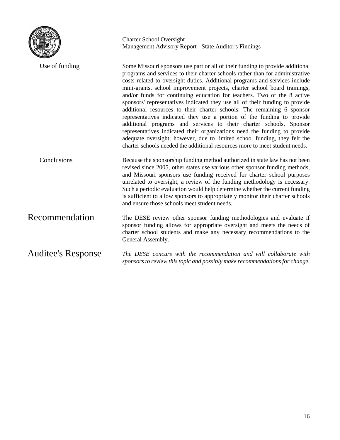

| Use of funding     | Some Missouri sponsors use part or all of their funding to provide additional<br>programs and services to their charter schools rather than for administrative<br>costs related to oversight duties. Additional programs and services include<br>mini-grants, school improvement projects, charter school board trainings,<br>and/or funds for continuing education for teachers. Two of the 8 active<br>sponsors' representatives indicated they use all of their funding to provide<br>additional resources to their charter schools. The remaining 6 sponsor<br>representatives indicated they use a portion of the funding to provide<br>additional programs and services to their charter schools. Sponsor<br>representatives indicated their organizations need the funding to provide<br>adequate oversight; however, due to limited school funding, they felt the<br>charter schools needed the additional resources more to meet student needs. |
|--------------------|----------------------------------------------------------------------------------------------------------------------------------------------------------------------------------------------------------------------------------------------------------------------------------------------------------------------------------------------------------------------------------------------------------------------------------------------------------------------------------------------------------------------------------------------------------------------------------------------------------------------------------------------------------------------------------------------------------------------------------------------------------------------------------------------------------------------------------------------------------------------------------------------------------------------------------------------------------|
| Conclusions        | Because the sponsorship funding method authorized in state law has not been<br>revised since 2005, other states use various other sponsor funding methods,<br>and Missouri sponsors use funding received for charter school purposes<br>unrelated to oversight, a review of the funding methodology is necessary.<br>Such a periodic evaluation would help determine whether the current funding<br>is sufficient to allow sponsors to appropriately monitor their charter schools<br>and ensure those schools meet student needs.                                                                                                                                                                                                                                                                                                                                                                                                                       |
| Recommendation     | The DESE review other sponsor funding methodologies and evaluate if<br>sponsor funding allows for appropriate oversight and meets the needs of<br>charter school students and make any necessary recommendations to the<br>General Assembly.                                                                                                                                                                                                                                                                                                                                                                                                                                                                                                                                                                                                                                                                                                             |
| Auditee's Response | The DESE concurs with the recommendation and will collaborate with<br>sponsors to review this topic and possibly make recommendations for change.                                                                                                                                                                                                                                                                                                                                                                                                                                                                                                                                                                                                                                                                                                                                                                                                        |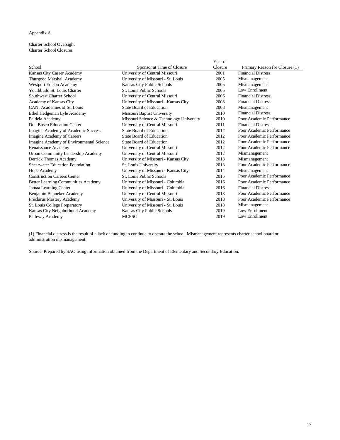### Appendix A

#### Charter School Oversight Charter School Closures

|                                          |                                          | Year of |                                |
|------------------------------------------|------------------------------------------|---------|--------------------------------|
| School                                   | Sponsor at Time of Closure               | Closure | Primary Reason for Closure (1) |
| Kansas City Career Academy               | University of Central Missouri           | 2001    | <b>Financial Distress</b>      |
| Thurgood Marshall Academy                | University of Missouri - St. Louis       | 2005    | Mismanagement                  |
| Westport Edison Academy                  | Kansas City Public Schools               | 2005    | Mismanagement                  |
| Youthbuild St. Louis Charter             | St. Louis Public Schools                 | 2005    | Low Enrollment                 |
| Southwest Charter School                 | University of Central Missouri           | 2006    | <b>Financial Distress</b>      |
| Academy of Kansas City                   | University of Missouri - Kansas City     | 2008    | <b>Financial Distress</b>      |
| CAN! Academies of St. Louis              | State Board of Education                 | 2008    | Mismanagement                  |
| Ethel Hedgeman Lyle Academy              | Missouri Baptist University              | 2010    | <b>Financial Distress</b>      |
| Paideia Academy                          | Missouri Science & Technology University | 2010    | Poor Academic Performance      |
| Don Bosco Education Center               | University of Central Missouri           | 2011    | <b>Financial Distress</b>      |
| Imagine Academy of Academic Success      | State Board of Education                 | 2012    | Poor Academic Performance      |
| Imagine Academy of Careers               | State Board of Education                 | 2012    | Poor Academic Performance      |
| Imagine Academy of Environmental Science | State Board of Education                 | 2012    | Poor Academic Performance      |
| Renaissance Academy                      | University of Central Missouri           | 2012    | Poor Academic Performance      |
| Urban Community Leadership Academy       | University of Central Missouri           | 2012    | Mismanagement                  |
| Derrick Thomas Academy                   | University of Missouri - Kansas City     | 2013    | Mismanagement                  |
| Shearwater Education Foundation          | St. Louis University                     | 2013    | Poor Academic Performance      |
| Hope Academy                             | University of Missouri - Kansas City     | 2014    | Mismanagement                  |
| <b>Construction Careers Center</b>       | St. Louis Public Schools                 | 2015    | Poor Academic Performance      |
| Better Learning Communities Academy      | University of Missouri - Columbia        | 2016    | Poor Academic Performance      |
| Jamaa Learning Center                    | University of Missouri - Columbia        | 2016    | <b>Financial Distress</b>      |
| Benjamin Banneker Academy                | University of Central Missouri           | 2018    | Poor Academic Performance      |
| Preclarus Mastery Academy                | University of Missouri - St. Louis       | 2018    | Poor Academic Performance      |
| St. Louis College Preparatory            | University of Missouri - St. Louis       | 2018    | Mismanagement                  |
| Kansas City Neighborhood Academy         | Kansas City Public Schools               | 2019    | Low Enrollment                 |
| Pathway Academy                          | <b>MCPSC</b>                             | 2019    | Low Enrollment                 |

(1) Financial distress is the result of a lack of funding to continue to operate the school. Mismanagement represents charter school board or administration mismanagement.

Source: Prepared by SAO using information obtained from the Department of Elementary and Secondary Education.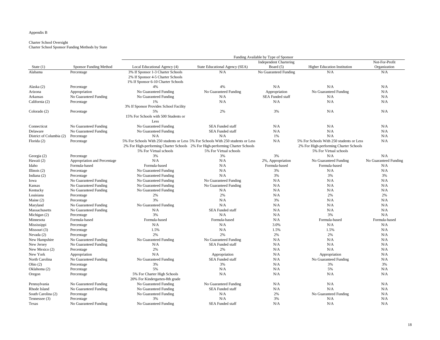#### Appendix B

### Charter School Oversight

Charter School Sponsor Funding Methods by State

|                          |                               |                                        |                                                                                   | Funding Available by Type of Sponsor |                                          |                       |
|--------------------------|-------------------------------|----------------------------------------|-----------------------------------------------------------------------------------|--------------------------------------|------------------------------------------|-----------------------|
|                          |                               |                                        |                                                                                   | <b>Independent Chartering</b>        |                                          | Not-For-Profit        |
| State $(1)$              | <b>Sponsor Funding Method</b> | Local Educational Agency (4)           | State Educational Agency (SEA)                                                    | Board (5)                            | <b>Higher Education Institution</b>      | Organization          |
| Alabama                  | Percentage                    | 3% If Sponsor 1-3 Charter Schools      | N/A                                                                               | No Guaranteed Funding                | N/A                                      | N/A                   |
|                          |                               | 2% If Sponsor 4-5 Charter Schools      |                                                                                   |                                      |                                          |                       |
|                          |                               | 1% If Sponsor 6-10 Charter Schools     |                                                                                   |                                      |                                          |                       |
| Alaska (2)               | Percentage                    | 4%                                     | 4%                                                                                | N/A                                  | N/A                                      | N/A                   |
| Arizona                  | Appropriation                 | No Guaranteed Funding                  | No Guaranteed Funding                                                             | Appropriation                        | No Guaranteed Funding                    | N/A                   |
| Arkansas                 | No Guaranteed Funding         | No Guaranteed Funding                  | N/A                                                                               | <b>SEA Funded staff</b>              | N/A                                      | N/A                   |
| California (2)           | Percentage                    | 1%                                     | N/A                                                                               | N/A                                  | N/A                                      | N/A                   |
|                          |                               | 3% If Sponsor Provides School Facility |                                                                                   |                                      |                                          |                       |
| Colorado (2)             | Percentage                    | 5%                                     | 2%                                                                                | 3%                                   | N/A                                      | N/A                   |
|                          |                               | 15% For Schools with 500 Students or   |                                                                                   |                                      |                                          |                       |
|                          |                               | Less                                   |                                                                                   |                                      |                                          |                       |
| Connecticut              | No Guaranteed Funding         | No Guaranteed Funding                  | <b>SEA Funded staff</b>                                                           | N/A                                  | N/A                                      | N/A                   |
| Delaware                 | No Guaranteed Funding         | No Guaranteed Funding                  | SEA Funded staff                                                                  | N/A                                  | N/A                                      | N/A                   |
| District of Columbia (2) | Percentage                    | N/A                                    | N/A                                                                               | 1%                                   | N/A                                      | N/A                   |
| Florida (2)              | Percentage                    |                                        | 5% For Schools With 250 students or Less 5% For Schools With 250 students or Less | N/A                                  | 5% For Schools With 250 students or Less | N/A                   |
|                          |                               |                                        | 2% For High-performing Charter Schools 2% For High-performing Charter Schools     |                                      | 2% For High-performing Charter Schools   |                       |
|                          |                               | 5% For Virtual schools                 | 5% For Virtual schools                                                            |                                      | 5% For Virtual schools                   |                       |
| Georgia (2)              | Percentage                    | 3%                                     | 3%                                                                                | 3%                                   | N/A                                      | N/A                   |
| Hawaii (2)               | Appropriation and Percentage  | N/A                                    | N/A                                                                               | 2%, Appropriation                    | No Guaranteed Funding                    | No Guaranteed Funding |
| Idaho                    | Formula-based                 | Formula-based                          | N/A                                                                               | Formula-based                        | Formula-based                            | N/A                   |
| Illinois $(2)$           |                               | No Guaranteed Funding                  | N/A                                                                               | 3%                                   | N/A                                      | N/A                   |
|                          | Percentage                    |                                        |                                                                                   | 3%                                   | 3%                                       |                       |
| Indiana (2)              | Percentage                    | No Guaranteed Funding                  | N/A                                                                               | N/A                                  | N/A                                      | 3%                    |
| Iowa                     | No Guaranteed Funding         | No Guaranteed Funding                  | No Guaranteed Funding                                                             |                                      |                                          | N/A                   |
| Kansas                   | No Guaranteed Funding         | No Guaranteed Funding                  | No Guaranteed Funding                                                             | N/A                                  | N/A                                      | N/A                   |
| Kentucky                 | No Guaranteed Funding         | No Guaranteed Funding                  | N/A                                                                               | N/A                                  | N/A                                      | N/A                   |
| Louisiana                | Percentage                    | 2%                                     | 2%                                                                                | N/A                                  | 2%                                       | 2%                    |
| Maine $(2)$              | Percentage                    | 3%                                     | N/A                                                                               | 3%                                   | N/A                                      | N/A                   |
| Maryland                 | No Guaranteed Funding         | No Guaranteed Funding                  | N/A                                                                               | N/A                                  | N/A                                      | N/A                   |
| Massachusetts            | No Guaranteed Funding         | N/A                                    | SEA Funded staff                                                                  | N/A                                  | N/A                                      | N/A                   |
| Michigan (2)             | Percentage                    | 3%                                     | N/A                                                                               | N/A                                  | 3%                                       | N/A                   |
| Minnesota                | Formula-based                 | Formula-based                          | Formula-based                                                                     | N/A                                  | Formula-based                            | Formula-based         |
| Mississippi              | Percentage                    | N/A                                    | N/A                                                                               | 3.0%                                 | N/A                                      | N/A                   |
| Missouri (3)             | Percentage                    | 1.5%                                   | N/A                                                                               | 1.5%                                 | 1.5%                                     | N/A                   |
| Nevada $(2)$             | Percentage                    | 2%                                     | 2%                                                                                | 2%                                   | 2%                                       | N/A                   |
| New Hampshire            | No Guaranteed Funding         | No Guaranteed Funding                  | No Guaranteed Funding                                                             | N/A                                  | N/A                                      | N/A                   |
| New Jersey               | No Guaranteed Funding         | N/A                                    | <b>SEA Funded staff</b>                                                           | N/A                                  | N/A                                      | N/A                   |
| New Mexico (2)           | Percentage                    | 2%                                     | 2%                                                                                | N/A                                  | N/A                                      | N/A                   |
| New York                 | Appropriation                 | N/A                                    | Appropriation                                                                     | N/A                                  | Appropriation                            | N/A                   |
| North Carolina           | No Guaranteed Funding         | No Guaranteed Funding                  | SEA Funded staff                                                                  | N/A                                  | No Guaranteed Funding                    | N/A                   |
| Ohio $(2)$               | Percentage                    | 3%                                     | 3%                                                                                | N/A                                  | 3%                                       | 3%                    |
| Oklahoma (2)             | Percentage                    | 5%                                     | N/A                                                                               | N/A                                  | 5%                                       | N/A                   |
| Oregon                   | Percentage                    | 5% For Charter High Schools            | N/A                                                                               | N/A                                  | N/A                                      | N/A                   |
|                          |                               | 20% For Kindergarten-8th grade         |                                                                                   |                                      |                                          |                       |
| Pennsylvania             | No Guaranteed Funding         | No Guaranteed Funding                  | No Guaranteed Funding                                                             | N/A                                  | N/A                                      | N/A                   |
| Rhode Island             | No Guaranteed Funding         | No Guaranteed Funding                  | <b>SEA Funded staff</b>                                                           | N/A                                  | N/A                                      | N/A                   |
| South Carolina (2)       | Percentage                    | No Guaranteed Funding                  | N/A                                                                               | 2%                                   | No Guaranteed Funding                    | N/A                   |
| Tennessee (3)            | Percentage                    | 3%                                     | N/A                                                                               | 3%                                   | N/A                                      | N/A                   |
| Texas                    | No Guaranteed Funding         | No Guaranteed Funding                  | <b>SEA Funded staff</b>                                                           | N/A                                  | N/A                                      | N/A                   |